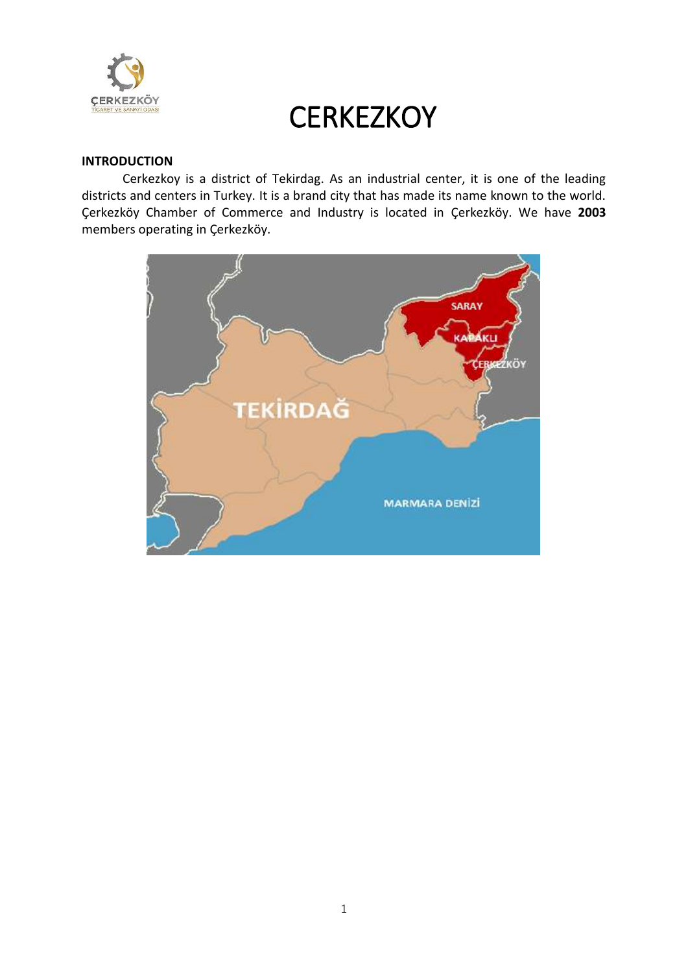

#### **INTRODUCTION**

Cerkezkoy is a district of Tekirdag. As an industrial center, it is one of the leading districts and centers in Turkey. It is a brand city that has made its name known to the world. Çerkezköy Chamber of Commerce and Industry is located in Çerkezköy. We have **2003** members operating in Çerkezköy.

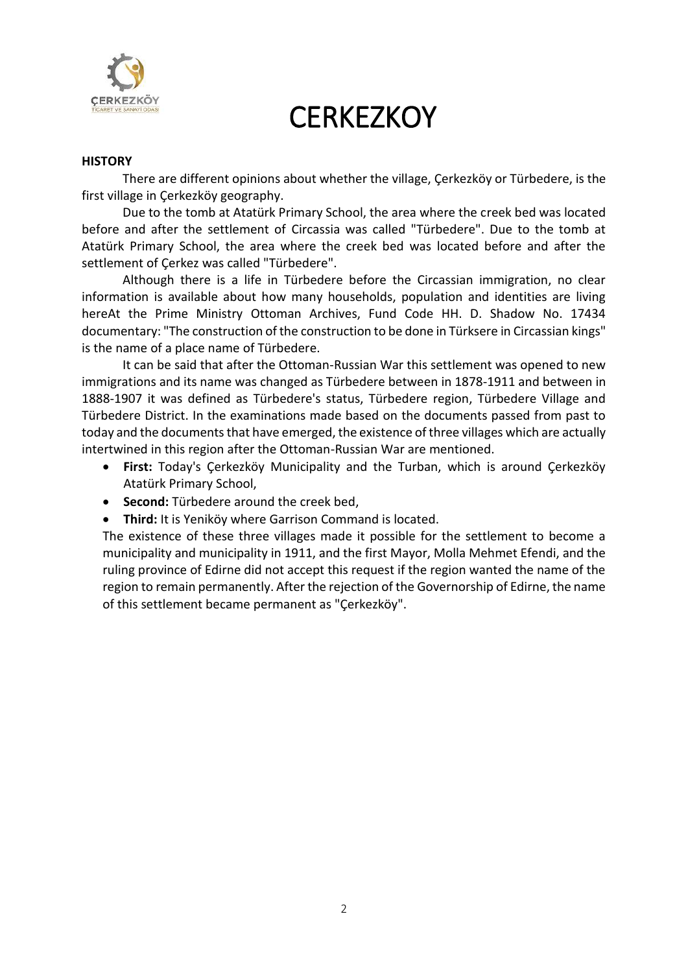

#### **HISTORY**

There are different opinions about whether the village, Çerkezköy or Türbedere, is the first village in Çerkezköy geography.

Due to the tomb at Atatürk Primary School, the area where the creek bed was located before and after the settlement of Circassia was called "Türbedere". Due to the tomb at Atatürk Primary School, the area where the creek bed was located before and after the settlement of Çerkez was called "Türbedere".

Although there is a life in Türbedere before the Circassian immigration, no clear information is available about how many households, population and identities are living hereAt the Prime Ministry Ottoman Archives, Fund Code HH. D. Shadow No. 17434 documentary: "The construction of the construction to be done in Türksere in Circassian kings" is the name of a place name of Türbedere.

It can be said that after the Ottoman-Russian War this settlement was opened to new immigrations and its name was changed as Türbedere between in 1878-1911 and between in 1888-1907 it was defined as Türbedere's status, Türbedere region, Türbedere Village and Türbedere District. In the examinations made based on the documents passed from past to today and the documents that have emerged, the existence of three villages which are actually intertwined in this region after the Ottoman-Russian War are mentioned.

- **First:** Today's Çerkezköy Municipality and the Turban, which is around Çerkezköy Atatürk Primary School,
- **Second:** Türbedere around the creek bed,
- **Third:** It is Yeniköy where Garrison Command is located.

The existence of these three villages made it possible for the settlement to become a municipality and municipality in 1911, and the first Mayor, Molla Mehmet Efendi, and the ruling province of Edirne did not accept this request if the region wanted the name of the region to remain permanently. After the rejection of the Governorship of Edirne, the name of this settlement became permanent as "Çerkezköy".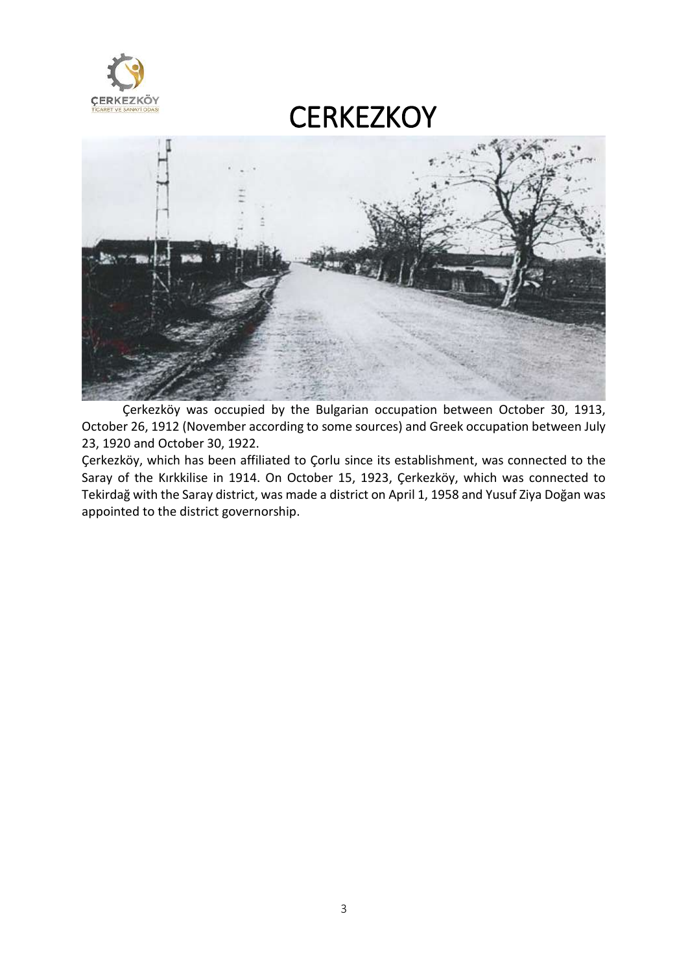



Çerkezköy was occupied by the Bulgarian occupation between October 30, 1913, October 26, 1912 (November according to some sources) and Greek occupation between July 23, 1920 and October 30, 1922.

Çerkezköy, which has been affiliated to Çorlu since its establishment, was connected to the Saray of the Kırkkilise in 1914. On October 15, 1923, Çerkezköy, which was connected to Tekirdağ with the Saray district, was made a district on April 1, 1958 and Yusuf Ziya Doğan was appointed to the district governorship.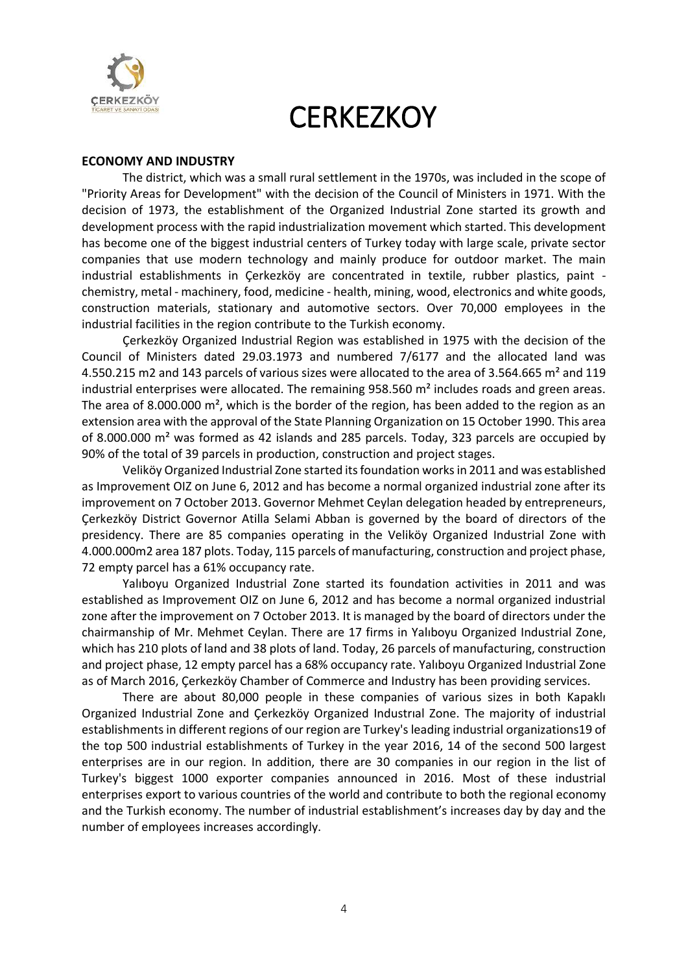

#### **ECONOMY AND INDUSTRY**

The district, which was a small rural settlement in the 1970s, was included in the scope of "Priority Areas for Development" with the decision of the Council of Ministers in 1971. With the decision of 1973, the establishment of the Organized Industrial Zone started its growth and development process with the rapid industrialization movement which started. This development has become one of the biggest industrial centers of Turkey today with large scale, private sector companies that use modern technology and mainly produce for outdoor market. The main industrial establishments in Çerkezköy are concentrated in textile, rubber plastics, paint chemistry, metal - machinery, food, medicine - health, mining, wood, electronics and white goods, construction materials, stationary and automotive sectors. Over 70,000 employees in the industrial facilities in the region contribute to the Turkish economy.

Çerkezköy Organized Industrial Region was established in 1975 with the decision of the Council of Ministers dated 29.03.1973 and numbered 7/6177 and the allocated land was 4.550.215 m2 and 143 parcels of various sizes were allocated to the area of 3.564.665 m² and 119 industrial enterprises were allocated. The remaining  $958.560$  m<sup>2</sup> includes roads and green areas. The area of 8.000.000  $\text{m}^2$ , which is the border of the region, has been added to the region as an extension area with the approval of the State Planning Organization on 15 October 1990. This area of 8.000.000 m² was formed as 42 islands and 285 parcels. Today, 323 parcels are occupied by 90% of the total of 39 parcels in production, construction and project stages.

Veliköy Organized Industrial Zone started its foundation works in 2011 and was established as Improvement OIZ on June 6, 2012 and has become a normal organized industrial zone after its improvement on 7 October 2013. Governor Mehmet Ceylan delegation headed by entrepreneurs, Çerkezköy District Governor Atilla Selami Abban is governed by the board of directors of the presidency. There are 85 companies operating in the Veliköy Organized Industrial Zone with 4.000.000m2 area 187 plots. Today, 115 parcels of manufacturing, construction and project phase, 72 empty parcel has a 61% occupancy rate.

Yalıboyu Organized Industrial Zone started its foundation activities in 2011 and was established as Improvement OIZ on June 6, 2012 and has become a normal organized industrial zone after the improvement on 7 October 2013. It is managed by the board of directors under the chairmanship of Mr. Mehmet Ceylan. There are 17 firms in Yalıboyu Organized Industrial Zone, which has 210 plots of land and 38 plots of land. Today, 26 parcels of manufacturing, construction and project phase, 12 empty parcel has a 68% occupancy rate. Yalıboyu Organized Industrial Zone as of March 2016, Çerkezköy Chamber of Commerce and Industry has been providing services.

There are about 80,000 people in these companies of various sizes in both Kapaklı Organized Industrial Zone and Çerkezköy Organized Industrıal Zone. The majority of industrial establishments in different regions of our region are Turkey's leading industrial organizations19 of the top 500 industrial establishments of Turkey in the year 2016, 14 of the second 500 largest enterprises are in our region. In addition, there are 30 companies in our region in the list of Turkey's biggest 1000 exporter companies announced in 2016. Most of these industrial enterprises export to various countries of the world and contribute to both the regional economy and the Turkish economy. The number of industrial establishment's increases day by day and the number of employees increases accordingly.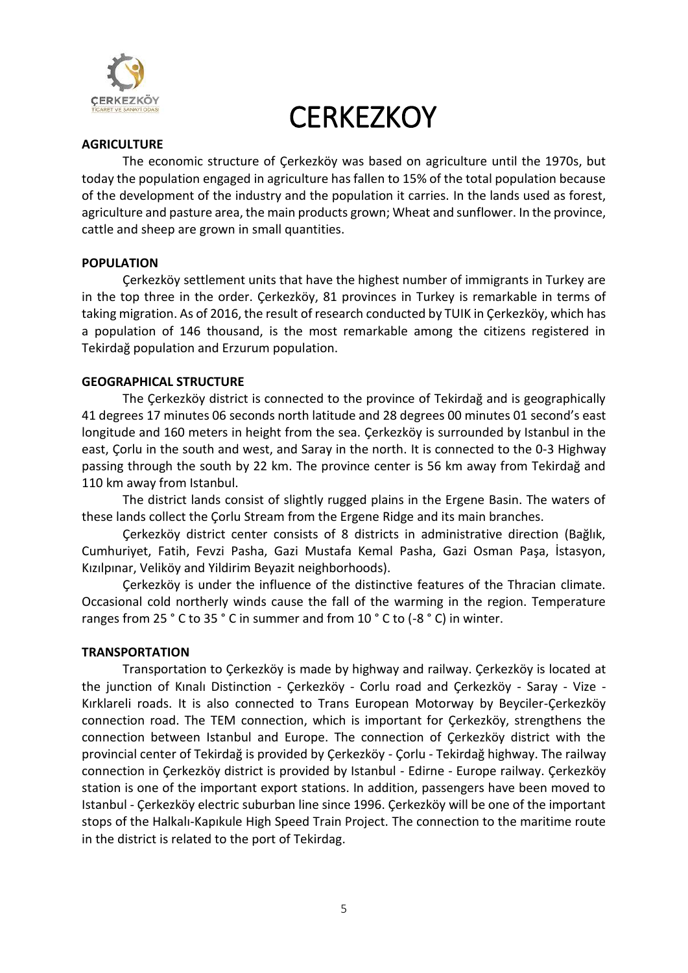

#### **AGRICULTURE**

The economic structure of Çerkezköy was based on agriculture until the 1970s, but today the population engaged in agriculture has fallen to 15% of the total population because of the development of the industry and the population it carries. In the lands used as forest, agriculture and pasture area, the main products grown; Wheat and sunflower. In the province, cattle and sheep are grown in small quantities.

#### **POPULATION**

Çerkezköy settlement units that have the highest number of immigrants in Turkey are in the top three in the order. Çerkezköy, 81 provinces in Turkey is remarkable in terms of taking migration. As of 2016, the result of research conducted by TUIK in Çerkezköy, which has a population of 146 thousand, is the most remarkable among the citizens registered in Tekirdağ population and Erzurum population.

#### **GEOGRAPHICAL STRUCTURE**

The Çerkezköy district is connected to the province of Tekirdağ and is geographically 41 degrees 17 minutes 06 seconds north latitude and 28 degrees 00 minutes 01 second's east longitude and 160 meters in height from the sea. Çerkezköy is surrounded by Istanbul in the east, Çorlu in the south and west, and Saray in the north. It is connected to the 0-3 Highway passing through the south by 22 km. The province center is 56 km away from Tekirdağ and 110 km away from Istanbul.

The district lands consist of slightly rugged plains in the Ergene Basin. The waters of these lands collect the Çorlu Stream from the Ergene Ridge and its main branches.

Çerkezköy district center consists of 8 districts in administrative direction (Bağlık, Cumhuriyet, Fatih, Fevzi Pasha, Gazi Mustafa Kemal Pasha, Gazi Osman Paşa, İstasyon, Kızılpınar, Veliköy and Yildirim Beyazit neighborhoods).

Çerkezköy is under the influence of the distinctive features of the Thracian climate. Occasional cold northerly winds cause the fall of the warming in the region. Temperature ranges from 25 ° C to 35 ° C in summer and from 10 ° C to (-8 ° C) in winter.

#### **TRANSPORTATION**

Transportation to Çerkezköy is made by highway and railway. Çerkezköy is located at the junction of Kınalı Distinction - Çerkezköy - Corlu road and Çerkezköy - Saray - Vize - Kırklareli roads. It is also connected to Trans European Motorway by Beyciler-Çerkezköy connection road. The TEM connection, which is important for Çerkezköy, strengthens the connection between Istanbul and Europe. The connection of Çerkezköy district with the provincial center of Tekirdağ is provided by Çerkezköy - Çorlu - Tekirdağ highway. The railway connection in Çerkezköy district is provided by Istanbul - Edirne - Europe railway. Çerkezköy station is one of the important export stations. In addition, passengers have been moved to Istanbul - Çerkezköy electric suburban line since 1996. Çerkezköy will be one of the important stops of the Halkalı-Kapıkule High Speed Train Project. The connection to the maritime route in the district is related to the port of Tekirdag.